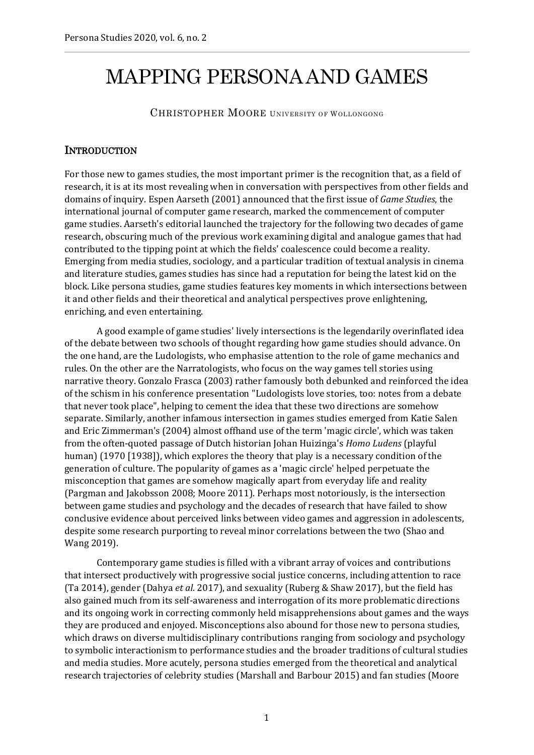## MAPPING PERSONA AND GAMES

CHRISTOPHER MOORE UNIVERSITY OF WOLLONGONG

## **INTRODUCTION**

For those new to games studies, the most important primer is the recognition that, as a field of research, it is at its most revealing when in conversation with perspectives from other fields and domains of inquiry. Espen Aarseth (2001) announced that the first issue of *Game Studies*, the international journal of computer game research, marked the commencement of computer game studies. Aarseth's editorial launched the trajectory for the following two decades of game research, obscuring much of the previous work examining digital and analogue games that had contributed to the tipping point at which the fields' coalescence could become a reality. Emerging from media studies, sociology, and a particular tradition of textual analysis in cinema and literature studies, games studies has since had a reputation for being the latest kid on the block. Like persona studies, game studies features key moments in which intersections between it and other fields and their theoretical and analytical perspectives prove enlightening, enriching, and even entertaining.

A good example of game studies' lively intersections is the legendarily overinflated idea of the debate between two schools of thought regarding how game studies should advance. On the one hand, are the Ludologists, who emphasise attention to the role of game mechanics and rules. On the other are the Narratologists, who focus on the way games tell stories using narrative theory. Gonzalo Frasca (2003) rather famously both debunked and reinforced the idea of the schism in his conference presentation "Ludologists love stories, too: notes from a debate that never took place", helping to cement the idea that these two directions are somehow separate. Similarly, another infamous intersection in games studies emerged from Katie Salen and Eric Zimmerman's (2004) almost offhand use of the term 'magic circle', which was taken from the often-quoted passage of Dutch historian Johan Huizinga's *Homo Ludens* (playful human) (1970 [1938]), which explores the theory that play is a necessary condition of the generation of culture. The popularity of games as a 'magic circle' helped perpetuate the misconception that games are somehow magically apart from everyday life and reality (Pargman and Jakobsson 2008; Moore 2011). Perhaps most notoriously, is the intersection between game studies and psychology and the decades of research that have failed to show conclusive evidence about perceived links between video games and aggression in adolescents, despite some research purporting to reveal minor correlations between the two (Shao and Wang 2019).

Contemporary game studies is filled with a vibrant array of voices and contributions that intersect productively with progressive social justice concerns, including attention to race (Ta 2014), gender (Dahya *et al.* 2017), and sexuality (Ruberg & Shaw 2017), but the field has also gained much from its self-awareness and interrogation of its more problematic directions and its ongoing work in correcting commonly held misapprehensions about games and the ways they are produced and enjoyed. Misconceptions also abound for those new to persona studies, which draws on diverse multidisciplinary contributions ranging from sociology and psychology to symbolic interactionism to performance studies and the broader traditions of cultural studies and media studies. More acutely, persona studies emerged from the theoretical and analytical research trajectories of celebrity studies (Marshall and Barbour 2015) and fan studies (Moore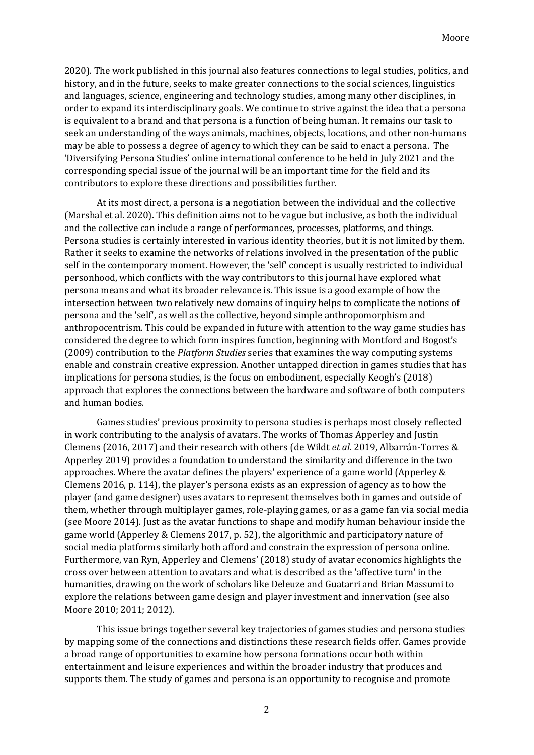2020). The work published in this journal also features connections to legal studies, politics, and history, and in the future, seeks to make greater connections to the social sciences, linguistics and languages, science, engineering and technology studies, among many other disciplines, in order to expand its interdisciplinary goals. We continue to strive against the idea that a persona is equivalent to a brand and that persona is a function of being human. It remains our task to seek an understanding of the ways animals, machines, objects, locations, and other non-humans may be able to possess a degree of agency to which they can be said to enact a persona. The 'Diversifying Persona Studies' online international conference to be held in July 2021 and the corresponding special issue of the journal will be an important time for the field and its contributors to explore these directions and possibilities further.

At its most direct, a persona is a negotiation between the individual and the collective (Marshal et al. 2020). This definition aims not to be vague but inclusive, as both the individual and the collective can include a range of performances, processes, platforms, and things. Persona studies is certainly interested in various identity theories, but it is not limited by them. Rather it seeks to examine the networks of relations involved in the presentation of the public self in the contemporary moment. However, the 'self' concept is usually restricted to individual personhood, which conflicts with the way contributors to this journal have explored what persona means and what its broader relevance is. This issue is a good example of how the intersection between two relatively new domains of inquiry helps to complicate the notions of persona and the 'self', as well as the collective, beyond simple anthropomorphism and anthropocentrism. This could be expanded in future with attention to the way game studies has considered the degree to which form inspires function, beginning with Montford and Bogost's (2009) contribution to the *Platform Studies* series that examines the way computing systems enable and constrain creative expression. Another untapped direction in games studies that has implications for persona studies, is the focus on embodiment, especially Keogh's (2018) approach that explores the connections between the hardware and software of both computers and human bodies.

Games studies' previous proximity to persona studies is perhaps most closely reflected in work contributing to the analysis of avatars. The works of Thomas Apperley and Justin Clemens (2016, 2017) and their research with others (de Wildt *et al.* 2019, Albarrán-Torres & Apperley 2019) provides a foundation to understand the similarity and difference in the two approaches. Where the avatar defines the players' experience of a game world (Apperley & Clemens 2016, p. 114), the player's persona exists as an expression of agency as to how the player (and game designer) uses avatars to represent themselves both in games and outside of them, whether through multiplayer games, role-playing games, or as a game fan via social media (see Moore 2014). Just as the avatar functions to shape and modify human behaviour inside the game world (Apperley & Clemens 2017, p. 52), the algorithmic and participatory nature of social media platforms similarly both afford and constrain the expression of persona online. Furthermore, van Ryn, Apperley and Clemens' (2018) study of avatar economics highlights the cross over between attention to avatars and what is described as the 'affective turn' in the humanities, drawing on the work of scholars like Deleuze and Guatarri and Brian Massumi to explore the relations between game design and player investment and innervation (see also Moore 2010; 2011; 2012).

This issue brings together several key trajectories of games studies and persona studies by mapping some of the connections and distinctions these research fields offer. Games provide a broad range of opportunities to examine how persona formations occur both within entertainment and leisure experiences and within the broader industry that produces and supports them. The study of games and persona is an opportunity to recognise and promote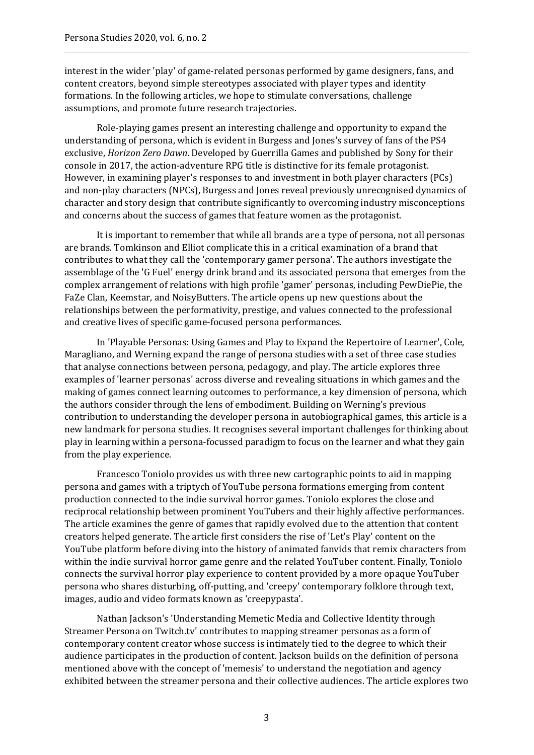interest in the wider 'play' of game-related personas performed by game designers, fans, and content creators, beyond simple stereotypes associated with player types and identity formations. In the following articles, we hope to stimulate conversations, challenge assumptions, and promote future research trajectories.

Role-playing games present an interesting challenge and opportunity to expand the understanding of persona, which is evident in Burgess and Jones's survey of fans of the PS4 exclusive, *Horizon Zero Dawn*. Developed by Guerrilla Games and published by Sony for their console in 2017, the action-adventure RPG title is distinctive for its female protagonist. However, in examining player's responses to and investment in both player characters (PCs) and non-play characters (NPCs), Burgess and Jones reveal previously unrecognised dynamics of character and story design that contribute significantly to overcoming industry misconceptions and concerns about the success of games that feature women as the protagonist.

It is important to remember that while all brands are a type of persona, not all personas are brands. Tomkinson and Elliot complicate this in a critical examination of a brand that contributes to what they call the 'contemporary gamer persona'. The authors investigate the assemblage of the 'G Fuel' energy drink brand and its associated persona that emerges from the complex arrangement of relations with high profile 'gamer' personas, including PewDiePie, the FaZe Clan, Keemstar, and NoisyButters. The article opens up new questions about the relationships between the performativity, prestige, and values connected to the professional and creative lives of specific game-focused persona performances.

In 'Playable Personas: Using Games and Play to Expand the Repertoire of Learner', Cole, Maragliano, and Werning expand the range of persona studies with a set of three case studies that analyse connections between persona, pedagogy, and play. The article explores three examples of 'learner personas' across diverse and revealing situations in which games and the making of games connect learning outcomes to performance, a key dimension of persona, which the authors consider through the lens of embodiment. Building on Werning's previous contribution to understanding the developer persona in autobiographical games, this article is a new landmark for persona studies. It recognises several important challenges for thinking about play in learning within a persona-focussed paradigm to focus on the learner and what they gain from the play experience.

Francesco Toniolo provides us with three new cartographic points to aid in mapping persona and games with a triptych of YouTube persona formations emerging from content production connected to the indie survival horror games. Toniolo explores the close and reciprocal relationship between prominent YouTubers and their highly affective performances. The article examines the genre of games that rapidly evolved due to the attention that content creators helped generate. The article first considers the rise of 'Let's Play' content on the YouTube platform before diving into the history of animated fanvids that remix characters from within the indie survival horror game genre and the related YouTuber content. Finally, Toniolo connects the survival horror play experience to content provided by a more opaque YouTuber persona who shares disturbing, off-putting, and 'creepy' contemporary folklore through text, images, audio and video formats known as 'creepypasta'.

Nathan Jackson's 'Understanding Memetic Media and Collective Identity through Streamer Persona on Twitch.tv' contributes to mapping streamer personas as a form of contemporary content creator whose success is intimately tied to the degree to which their audience participates in the production of content. Jackson builds on the definition of persona mentioned above with the concept of 'memesis' to understand the negotiation and agency exhibited between the streamer persona and their collective audiences. The article explores two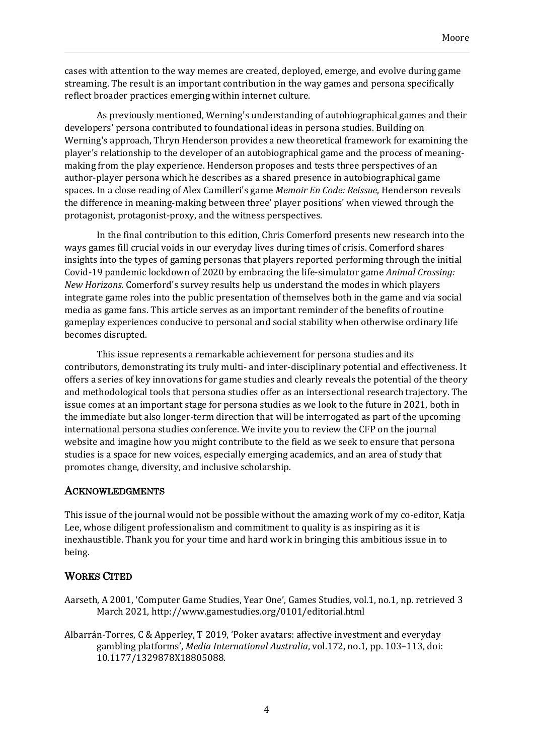cases with attention to the way memes are created, deployed, emerge, and evolve during game streaming. The result is an important contribution in the way games and persona specifically reflect broader practices emerging within internet culture.

As previously mentioned, Werning's understanding of autobiographical games and their developers' persona contributed to foundational ideas in persona studies. Building on Werning's approach, Thryn Henderson provides a new theoretical framework for examining the player's relationship to the developer of an autobiographical game and the process of meaningmaking from the play experience. Henderson proposes and tests three perspectives of an author-player persona which he describes as a shared presence in autobiographical game spaces. In a close reading of Alex Camilleri's game *Memoir En Code: Reissue*, Henderson reveals the difference in meaning-making between three' player positions' when viewed through the protagonist, protagonist-proxy, and the witness perspectives.

In the final contribution to this edition, Chris Comerford presents new research into the ways games fill crucial voids in our everyday lives during times of crisis. Comerford shares insights into the types of gaming personas that players reported performing through the initial Covid-19 pandemic lockdown of 2020 by embracing the life-simulator game *Animal Crossing: New Horizons*. Comerford's survey results help us understand the modes in which players integrate game roles into the public presentation of themselves both in the game and via social media as game fans. This article serves as an important reminder of the benefits of routine gameplay experiences conducive to personal and social stability when otherwise ordinary life becomes disrupted.

This issue represents a remarkable achievement for persona studies and its contributors, demonstrating its truly multi- and inter-disciplinary potential and effectiveness. It offers a series of key innovations for game studies and clearly reveals the potential of the theory and methodological tools that persona studies offer as an intersectional research trajectory. The issue comes at an important stage for persona studies as we look to the future in 2021, both in the immediate but also longer-term direction that will be interrogated as part of the upcoming international persona studies conference. We invite you to review the CFP on the journal website and imagine how you might contribute to the field as we seek to ensure that persona studies is a space for new voices, especially emerging academics, and an area of study that promotes change, diversity, and inclusive scholarship.

## ACKNOWLEDGMENTS

This issue of the journal would not be possible without the amazing work of my co-editor, Katja Lee, whose diligent professionalism and commitment to quality is as inspiring as it is inexhaustible. Thank you for your time and hard work in bringing this ambitious issue in to being.

## WORKS CITED

- Aarseth, A 2001, 'Computer Game Studies, Year One', Games Studies, vol.1, no.1, np. retrieved 3 March 2021, http://www.gamestudies.org/0101/editorial.html
- Albarrán-Torres, C & Apperley, T 2019, 'Poker avatars: affective investment and everyday gambling platforms', *Media International Australia*, vol.172, no.1, pp. 103–113, doi: 10.1177/1329878X18805088.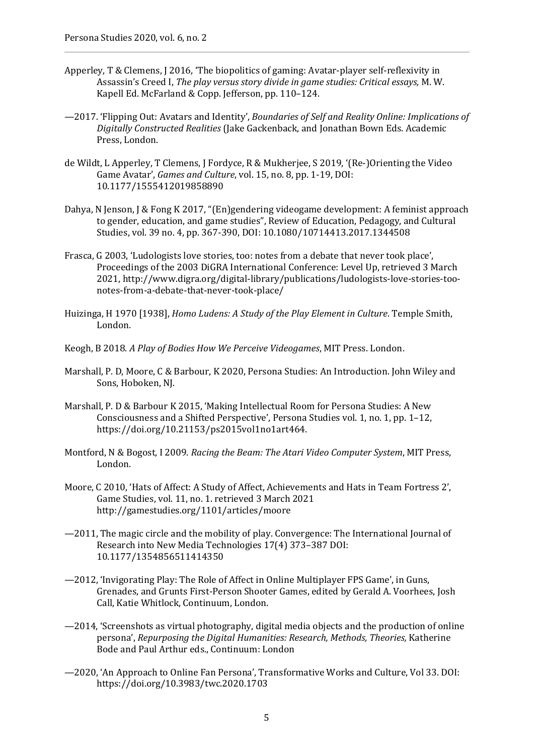- Apperley, T & Clemens, J 2016, 'The biopolitics of gaming: Avatar-player self-reflexivity in Assassin's Creed I, *The play versus story divide in game studies: Critical essays,* M. W. Kapell Ed. McFarland & Copp. Jefferson, pp. 110–124.
- —2017. 'Flipping Out: Avatars and Identity', *Boundaries of Self and Reality Online: Implications of Digitally Constructed Realities* (Jake Gackenback, and Jonathan Bown Eds. Academic Press, London.
- de Wildt, L Apperley, T Clemens, J Fordyce, R & Mukherjee, S 2019, '(Re-)Orienting the Video Game Avatar', *Games and Culture*, vol. 15, no. 8, pp. 1-19, DOI: 10.1177/1555412019858890
- Dahya, N Jenson, J & Fong K 2017, "(En)gendering videogame development: A feminist approach to gender, education, and game studies", Review of Education, Pedagogy, and Cultural Studies, vol. 39 no. 4, pp. 367-390, DOI: 10.1080/10714413.2017.1344508
- Frasca, G 2003, 'Ludologists love stories, too: notes from a debate that never took place', Proceedings of the 2003 DiGRA International Conference: Level Up, retrieved 3 March 2021, http://www.digra.org/digital-library/publications/ludologists-love-stories-toonotes-from-a-debate-that-never-took-place/
- Huizinga, H 1970 [1938], *Homo Ludens: A Study of the Play Element in Culture*. Temple Smith, London.
- Keogh, B 2018. *A Play of Bodies How We Perceive Videogames*, MIT Press. London.
- Marshall, P. D, Moore, C & Barbour, K 2020, Persona Studies: An Introduction. John Wiley and Sons, Hoboken, NJ.
- Marshall, P. D & Barbour K 2015, 'Making Intellectual Room for Persona Studies: A New Consciousness and a Shifted Perspective', Persona Studies vol. 1, no. 1, pp. 1–12, https://doi.org/10.21153/ps2015vol1no1art464.
- Montford, N & Bogost, I 2009. *Racing the Beam: The Atari Video Computer System*, MIT Press, London.
- Moore, C 2010, 'Hats of Affect: A Study of Affect, Achievements and Hats in Team Fortress 2', Game Studies, vol. 11, no. 1. retrieved 3 March 2021 http://gamestudies.org/1101/articles/moore
- —2011, The magic circle and the mobility of play. Convergence: The International Journal of Research into New Media Technologies 17(4) 373–387 DOI: 10.1177/1354856511414350
- —2012, 'Invigorating Play: The Role of Affect in Online Multiplayer FPS Game', in Guns, Grenades, and Grunts First-Person Shooter Games, edited by Gerald A. Voorhees, Josh Call, Katie Whitlock, Continuum, London.
- —2014, 'Screenshots as virtual photography, digital media objects and the production of online persona', *Repurposing the Digital Humanities: Research, Methods, Theories,* Katherine Bode and Paul Arthur eds., Continuum: London
- —2020, 'An Approach to Online Fan Persona', Transformative Works and Culture, Vol 33. DOI: https://doi.org/10.3983/twc.2020.1703